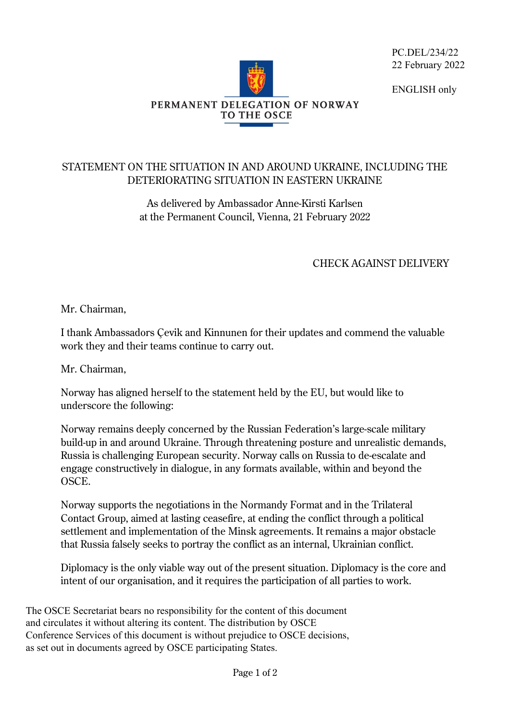PC.DEL/234/22 22 February 2022

ENGLISH only



## STATEMENT ON THE SITUATION IN AND AROUND UKRAINE, INCLUDING THE DETERIORATING SITUATION IN EASTERN UKRAINE

As delivered by Ambassador Anne-Kirsti Karlsen at the Permanent Council, Vienna, 21 February 2022

## CHECK AGAINST DELIVERY

Mr. Chairman,

I thank Ambassadors Çevik and Kinnunen for their updates and commend the valuable work they and their teams continue to carry out.

Mr. Chairman,

Norway has aligned herself to the statement held by the EU, but would like to underscore the following:

Norway remains deeply concerned by the Russian Federation's large-scale military build-up in and around Ukraine. Through threatening posture and unrealistic demands, Russia is challenging European security. Norway calls on Russia to de-escalate and engage constructively in dialogue, in any formats available, within and beyond the OSCE.

Norway supports the negotiations in the Normandy Format and in the Trilateral Contact Group, aimed at lasting ceasefire, at ending the conflict through a political settlement and implementation of the Minsk agreements. It remains a major obstacle that Russia falsely seeks to portray the conflict as an internal, Ukrainian conflict.

Diplomacy is the only viable way out of the present situation. Diplomacy is the core and intent of our organisation, and it requires the participation of all parties to work.

The OSCE Secretariat bears no responsibility for the content of this document and circulates it without altering its content. The distribution by OSCE Conference Services of this document is without prejudice to OSCE decisions, as set out in documents agreed by OSCE participating States.